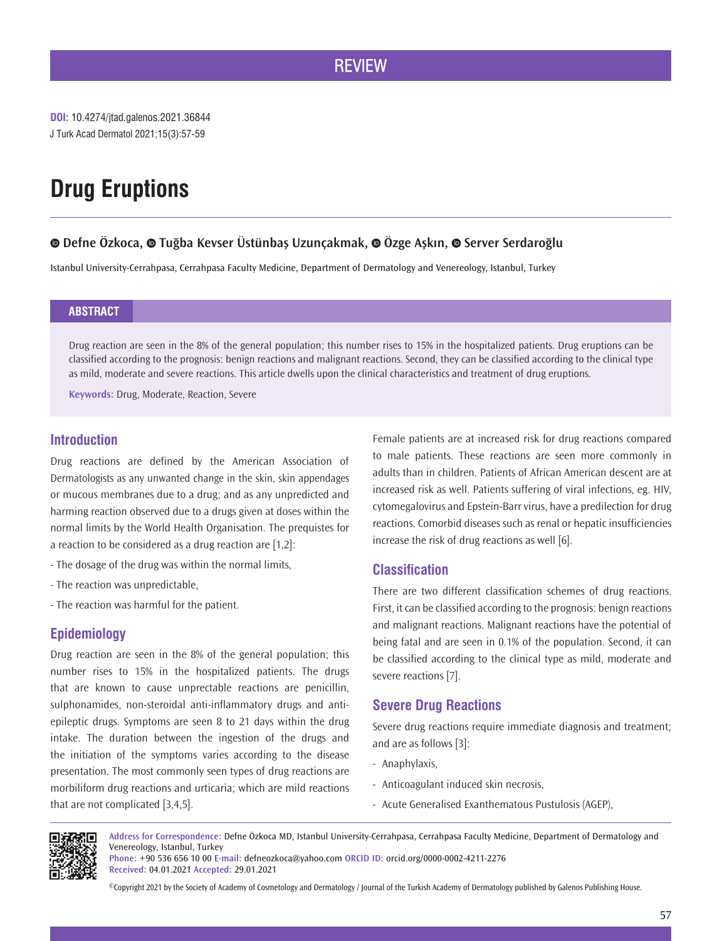# **REVIEW**

# **Drug Eruptions**

# **Defne Özkoca,Tuğba Kevser Üstünbaş Uzunçakmak,Özge Aşkın,Server Serdaroğlu**

Istanbul University-Cerrahpasa, Cerrahpasa Faculty Medicine, Department of Dermatology and Venereology, Istanbul, Turkey

# **ABSTRACT**

Drug reaction are seen in the 8% of the general population; this number rises to 15% in the hospitalized patients. Drug eruptions can be classified according to the prognosis: benign reactions and malignant reactions. Second, they can be classified according to the clinical type as mild, moderate and severe reactions. This article dwells upon the clinical characteristics and treatment of drug eruptions.

**Keywords:** Drug, Moderate, Reaction, Severe

# **Introduction**

Drug reactions are defined by the American Association of Dermatologists as any unwanted change in the skin, skin appendages or mucous membranes due to a drug; and as any unpredicted and harming reaction observed due to a drugs given at doses within the normal limits by the World Health Organisation. The prequistes for a reaction to be considered as a drug reaction are [1,2]:

- The dosage of the drug was within the normal limits,
- The reaction was unpredictable,
- The reaction was harmful for the patient.

# **Epidemiology**

Drug reaction are seen in the 8% of the general population; this number rises to 15% in the hospitalized patients. The drugs that are known to cause unprectable reactions are penicillin, sulphonamides, non-steroidal anti-inflammatory drugs and antiepileptic drugs. Symptoms are seen 8 to 21 days within the drug intake. The duration between the ingestion of the drugs and the initiation of the symptoms varies according to the disease presentation. The most commonly seen types of drug reactions are morbiliform drug reactions and urticaria; which are mild reactions that are not complicated [3,4,5].

Female patients are at increased risk for drug reactions compared to male patients. These reactions are seen more commonly in adults than in children. Patients of African American descent are at increased risk as well. Patients suffering of viral infections, eg. HIV, cytomegalovirus and Epstein-Barr virus, have a predilection for drug reactions. Comorbid diseases such as renal or hepatic insufficiencies increase the risk of drug reactions as well [6].

# **Classification**

There are two different classification schemes of drug reactions. First, it can be classified according to the prognosis: benign reactions and malignant reactions. Malignant reactions have the potential of being fatal and are seen in 0.1% of the population. Second, it can be classified according to the clinical type as mild, moderate and severe reactions [7].

# **Severe Drug Reactions**

Severe drug reactions require immediate diagnosis and treatment; and are as follows [3]:

- Anaphylaxis,
- Anticoagulant induced skin necrosis,
- Acute Generalised Exanthematous Pustulosis (AGEP),

нски

**Address for Correspondence:** Defne Özkoca MD, Istanbul University-Cerrahpasa, Cerrahpasa Faculty Medicine, Department of Dermatology and Venereology, Istanbul, Turkey

**Phone:** +90 536 656 10 00 **E-mail:** defneozkoca@yahoo.com **ORCID ID:** orcid.org/0000-0002-4211-2276 **Received:** 04.01.2021 **Accepted:** 29.01.2021

©Copyright 2021 by the Society of Academy of Cosmetology and Dermatology / Journal of the Turkish Academy of Dermatology published by Galenos Publishing House.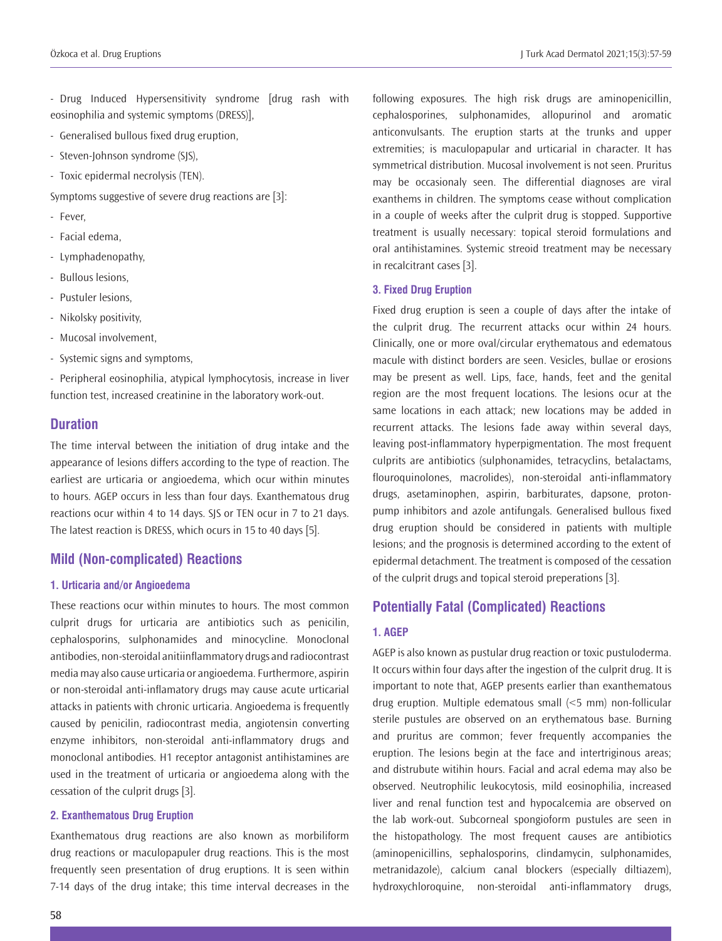- Drug Induced Hypersensitivity syndrome [drug rash with eosinophilia and systemic symptoms (DRESS)],

- Generalised bullous fixed drug eruption,
- Steven-Johnson syndrome (SJS),
- Toxic epidermal necrolysis (TEN).

Symptoms suggestive of severe drug reactions are [3]:

- Fever,
- Facial edema,
- Lymphadenopathy,
- Bullous lesions,
- Pustuler lesions,
- Nikolsky positivity,
- Mucosal involvement,
- Systemic signs and symptoms,

- Peripheral eosinophilia, atypical lymphocytosis, increase in liver function test, increased creatinine in the laboratory work-out.

# **Duration**

The time interval between the initiation of drug intake and the appearance of lesions differs according to the type of reaction. The earliest are urticaria or angioedema, which ocur within minutes to hours. AGEP occurs in less than four days. Exanthematous drug reactions ocur within 4 to 14 days. SJS or TEN ocur in 7 to 21 days. The latest reaction is DRESS, which ocurs in 15 to 40 days [5].

# **Mild (Non-complicated) Reactions**

#### **1. Urticaria and/or Angioedema**

These reactions ocur within minutes to hours. The most common culprit drugs for urticaria are antibiotics such as penicilin, cephalosporins, sulphonamides and minocycline. Monoclonal antibodies, non-steroidal anitiinflammatory drugs and radiocontrast media may also cause urticaria or angioedema. Furthermore, aspirin or non-steroidal anti-inflamatory drugs may cause acute urticarial attacks in patients with chronic urticaria. Angioedema is frequently caused by penicilin, radiocontrast media, angiotensin converting enzyme inhibitors, non-steroidal anti-inflammatory drugs and monoclonal antibodies. H1 receptor antagonist antihistamines are used in the treatment of urticaria or angioedema along with the cessation of the culprit drugs [3].

#### **2. Exanthematous Drug Eruption**

Exanthematous drug reactions are also known as morbiliform drug reactions or maculopapuler drug reactions. This is the most frequently seen presentation of drug eruptions. It is seen within 7-14 days of the drug intake; this time interval decreases in the

following exposures. The high risk drugs are aminopenicillin, cephalosporines, sulphonamides, allopurinol and aromatic anticonvulsants. The eruption starts at the trunks and upper extremities; is maculopapular and urticarial in character. It has symmetrical distribution. Mucosal involvement is not seen. Pruritus may be occasionaly seen. The differential diagnoses are viral exanthems in children. The symptoms cease without complication in a couple of weeks after the culprit drug is stopped. Supportive treatment is usually necessary: topical steroid formulations and oral antihistamines. Systemic streoid treatment may be necessary in recalcitrant cases [3].

#### **3. Fixed Drug Eruption**

Fixed drug eruption is seen a couple of days after the intake of the culprit drug. The recurrent attacks ocur within 24 hours. Clinically, one or more oval/circular erythematous and edematous macule with distinct borders are seen. Vesicles, bullae or erosions may be present as well. Lips, face, hands, feet and the genital region are the most frequent locations. The lesions ocur at the same locations in each attack; new locations may be added in recurrent attacks. The lesions fade away within several days, leaving post-inflammatory hyperpigmentation. The most frequent culprits are antibiotics (sulphonamides, tetracyclins, betalactams, flouroquinolones, macrolides), non-steroidal anti-inflammatory drugs, asetaminophen, aspirin, barbiturates, dapsone, protonpump inhibitors and azole antifungals. Generalised bullous fixed drug eruption should be considered in patients with multiple lesions; and the prognosis is determined according to the extent of epidermal detachment. The treatment is composed of the cessation of the culprit drugs and topical steroid preperations [3].

# **Potentially Fatal (Complicated) Reactions**

#### **1. AGEP**

AGEP is also known as pustular drug reaction or toxic pustuloderma. It occurs within four days after the ingestion of the culprit drug. It is important to note that, AGEP presents earlier than exanthematous drug eruption. Multiple edematous small (<5 mm) non-follicular sterile pustules are observed on an erythematous base. Burning and pruritus are common; fever frequently accompanies the eruption. The lesions begin at the face and intertriginous areas; and distrubute witihin hours. Facial and acral edema may also be observed. Neutrophilic leukocytosis, mild eosinophilia, increased liver and renal function test and hypocalcemia are observed on the lab work-out. Subcorneal spongioform pustules are seen in the histopathology. The most frequent causes are antibiotics (aminopenicillins, sephalosporins, clindamycin, sulphonamides, metranidazole), calcium canal blockers (especially diltiazem), hydroxychloroquine, non-steroidal anti-inflammatory drugs,